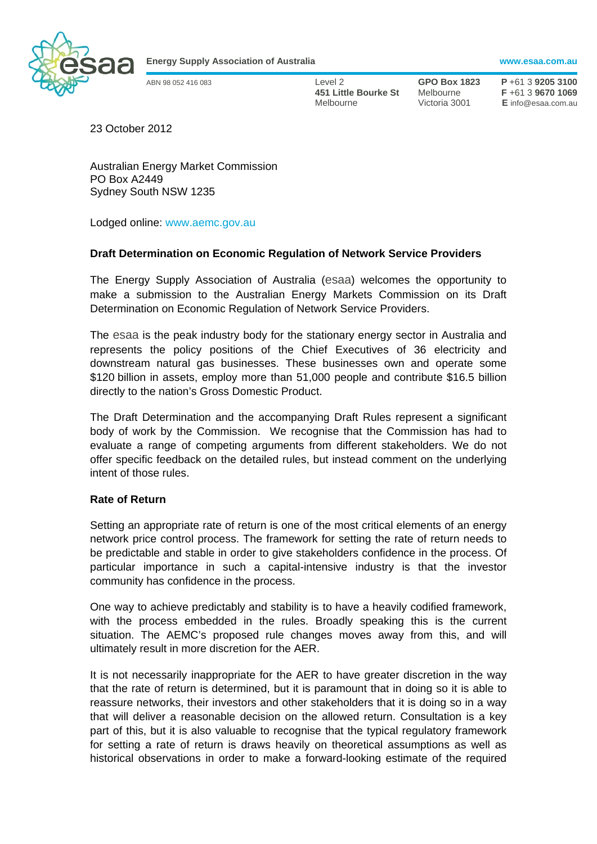

**Energy Supply Association of Australia www.esaa.com.au** 

ABN 98 052 416 083 Level 2 **GPO Box 1823 P** +61 3 **9205 3100 451 Little Bourke St** Melbourne **F** +61 3 **9670 1069**  Melbourne Victoria 3001 **E** info@esaa.com.au

23 October 2012

Australian Energy Market Commission PO Box A2449 Sydney South NSW 1235

Lodged online: www.aemc.gov.au

# **Draft Determination on Economic Regulation of Network Service Providers**

The Energy Supply Association of Australia (esaa) welcomes the opportunity to make a submission to the Australian Energy Markets Commission on its Draft Determination on Economic Regulation of Network Service Providers.

The esaa is the peak industry body for the stationary energy sector in Australia and represents the policy positions of the Chief Executives of 36 electricity and downstream natural gas businesses. These businesses own and operate some \$120 billion in assets, employ more than 51,000 people and contribute \$16.5 billion directly to the nation's Gross Domestic Product.

The Draft Determination and the accompanying Draft Rules represent a significant body of work by the Commission. We recognise that the Commission has had to evaluate a range of competing arguments from different stakeholders. We do not offer specific feedback on the detailed rules, but instead comment on the underlying intent of those rules.

#### **Rate of Return**

Setting an appropriate rate of return is one of the most critical elements of an energy network price control process. The framework for setting the rate of return needs to be predictable and stable in order to give stakeholders confidence in the process. Of particular importance in such a capital-intensive industry is that the investor community has confidence in the process.

One way to achieve predictably and stability is to have a heavily codified framework, with the process embedded in the rules. Broadly speaking this is the current situation. The AEMC's proposed rule changes moves away from this, and will ultimately result in more discretion for the AER.

It is not necessarily inappropriate for the AER to have greater discretion in the way that the rate of return is determined, but it is paramount that in doing so it is able to reassure networks, their investors and other stakeholders that it is doing so in a way that will deliver a reasonable decision on the allowed return. Consultation is a key part of this, but it is also valuable to recognise that the typical regulatory framework for setting a rate of return is draws heavily on theoretical assumptions as well as historical observations in order to make a forward-looking estimate of the required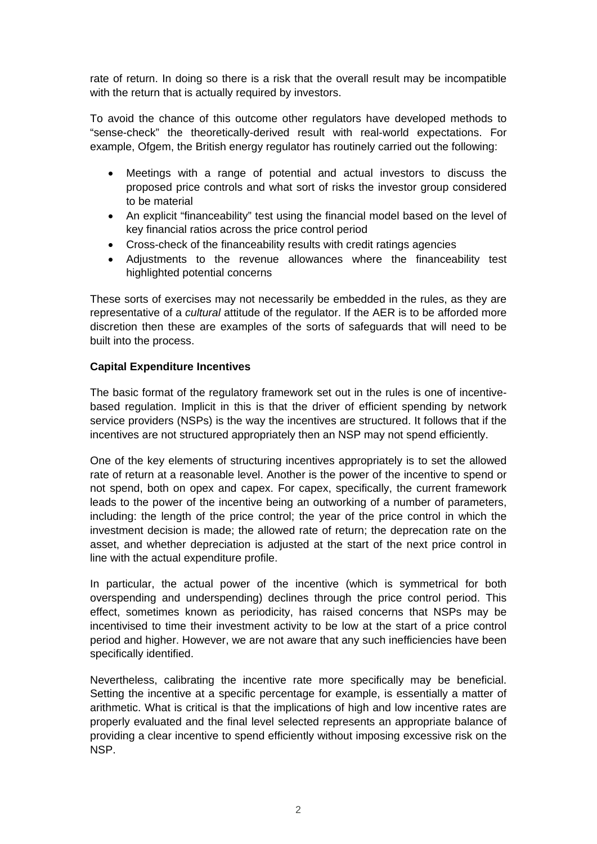rate of return. In doing so there is a risk that the overall result may be incompatible with the return that is actually required by investors.

To avoid the chance of this outcome other regulators have developed methods to "sense-check" the theoretically-derived result with real-world expectations. For example, Ofgem, the British energy regulator has routinely carried out the following:

- Meetings with a range of potential and actual investors to discuss the proposed price controls and what sort of risks the investor group considered to be material
- An explicit "financeability" test using the financial model based on the level of key financial ratios across the price control period
- Cross-check of the financeability results with credit ratings agencies
- Adjustments to the revenue allowances where the financeability test highlighted potential concerns

These sorts of exercises may not necessarily be embedded in the rules, as they are representative of a *cultural* attitude of the regulator. If the AER is to be afforded more discretion then these are examples of the sorts of safeguards that will need to be built into the process.

# **Capital Expenditure Incentives**

The basic format of the regulatory framework set out in the rules is one of incentivebased regulation. Implicit in this is that the driver of efficient spending by network service providers (NSPs) is the way the incentives are structured. It follows that if the incentives are not structured appropriately then an NSP may not spend efficiently.

One of the key elements of structuring incentives appropriately is to set the allowed rate of return at a reasonable level. Another is the power of the incentive to spend or not spend, both on opex and capex. For capex, specifically, the current framework leads to the power of the incentive being an outworking of a number of parameters, including: the length of the price control; the year of the price control in which the investment decision is made; the allowed rate of return; the deprecation rate on the asset, and whether depreciation is adjusted at the start of the next price control in line with the actual expenditure profile.

In particular, the actual power of the incentive (which is symmetrical for both overspending and underspending) declines through the price control period. This effect, sometimes known as periodicity, has raised concerns that NSPs may be incentivised to time their investment activity to be low at the start of a price control period and higher. However, we are not aware that any such inefficiencies have been specifically identified.

Nevertheless, calibrating the incentive rate more specifically may be beneficial. Setting the incentive at a specific percentage for example, is essentially a matter of arithmetic. What is critical is that the implications of high and low incentive rates are properly evaluated and the final level selected represents an appropriate balance of providing a clear incentive to spend efficiently without imposing excessive risk on the NSP.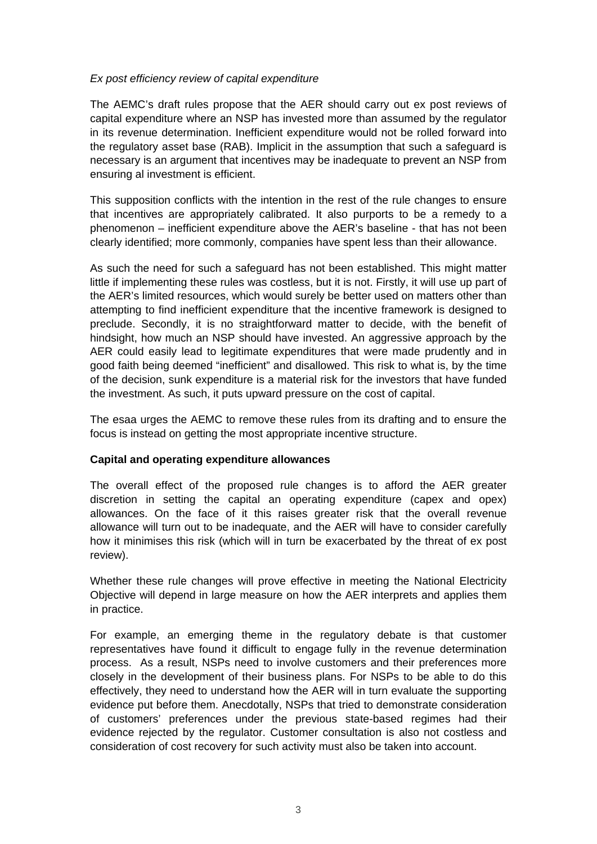### *Ex post efficiency review of capital expenditure*

The AEMC's draft rules propose that the AER should carry out ex post reviews of capital expenditure where an NSP has invested more than assumed by the regulator in its revenue determination. Inefficient expenditure would not be rolled forward into the regulatory asset base (RAB). Implicit in the assumption that such a safeguard is necessary is an argument that incentives may be inadequate to prevent an NSP from ensuring al investment is efficient.

This supposition conflicts with the intention in the rest of the rule changes to ensure that incentives are appropriately calibrated. It also purports to be a remedy to a phenomenon – inefficient expenditure above the AER's baseline - that has not been clearly identified; more commonly, companies have spent less than their allowance.

As such the need for such a safeguard has not been established. This might matter little if implementing these rules was costless, but it is not. Firstly, it will use up part of the AER's limited resources, which would surely be better used on matters other than attempting to find inefficient expenditure that the incentive framework is designed to preclude. Secondly, it is no straightforward matter to decide, with the benefit of hindsight, how much an NSP should have invested. An aggressive approach by the AER could easily lead to legitimate expenditures that were made prudently and in good faith being deemed "inefficient" and disallowed. This risk to what is, by the time of the decision, sunk expenditure is a material risk for the investors that have funded the investment. As such, it puts upward pressure on the cost of capital.

The esaa urges the AEMC to remove these rules from its drafting and to ensure the focus is instead on getting the most appropriate incentive structure.

### **Capital and operating expenditure allowances**

The overall effect of the proposed rule changes is to afford the AER greater discretion in setting the capital an operating expenditure (capex and opex) allowances. On the face of it this raises greater risk that the overall revenue allowance will turn out to be inadequate, and the AER will have to consider carefully how it minimises this risk (which will in turn be exacerbated by the threat of ex post review).

Whether these rule changes will prove effective in meeting the National Electricity Objective will depend in large measure on how the AER interprets and applies them in practice.

For example, an emerging theme in the regulatory debate is that customer representatives have found it difficult to engage fully in the revenue determination process. As a result, NSPs need to involve customers and their preferences more closely in the development of their business plans. For NSPs to be able to do this effectively, they need to understand how the AER will in turn evaluate the supporting evidence put before them. Anecdotally, NSPs that tried to demonstrate consideration of customers' preferences under the previous state-based regimes had their evidence rejected by the regulator. Customer consultation is also not costless and consideration of cost recovery for such activity must also be taken into account.